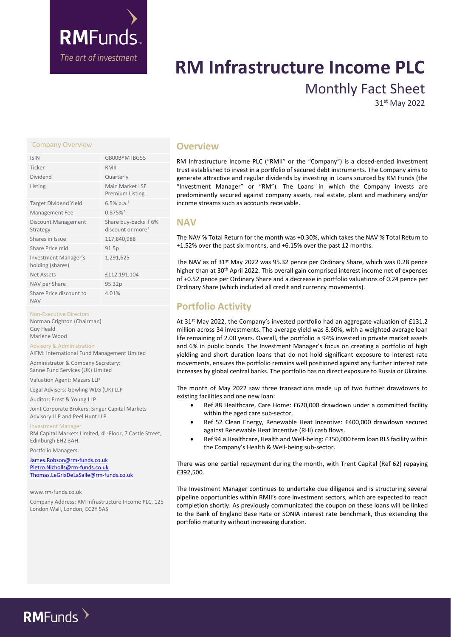

# **RM Infrastructure Income PLC** Monthly Fact Sheet

31st May 2022

# `Company Overview **Overview**

| <b>ISIN</b>                                     | GB00BYMTBG55                                           |
|-------------------------------------------------|--------------------------------------------------------|
| Ticker                                          | RMII                                                   |
| Dividend                                        | Quarterly                                              |
| Listing                                         | Main Market LSF<br><b>Premium Listing</b>              |
| <b>Target Dividend Yield</b>                    | 6.5% p.a. <sup>1</sup>                                 |
| Management Fee                                  | $0.875\%^{2}$                                          |
| <b>Discount Management</b><br>Strategy          | Share buy-backs if 6%<br>discount or more <sup>3</sup> |
| Shares in Issue                                 | 117,840,988                                            |
| Share Price mid                                 | 91.5p                                                  |
| <b>Investment Manager's</b><br>holding (shares) | 1,291,625                                              |
| Net Assets                                      | £112,191,104                                           |
| NAV per Share                                   | 95.32p                                                 |
| Share Price discount to<br><b>NAV</b>           | 4.01%                                                  |

# Non-Executive Directors

Norman Crighton (Chairman) Guy Heald Marlene Wood

## Advisory & Administration

AIFM: International Fund Management Limited

Administrator & Company Secretary: Sanne Fund Services (UK) Limited

Valuation Agent: Mazars LLP

Legal Advisers: Gowling WLG (UK) LLP

Auditor: Ernst & Young LLP

Joint Corporate Brokers: Singer Capital Markets Advisory LLP and Peel Hunt LLP

Investment Manager

RM Capital Markets Limited, 4<sup>th</sup> Floor, 7 Castle Street, Edinburgh EH2 3AH.

Portfolio Managers:

[James.Robson@rm-funds.co.uk](mailto:James.Robson@rm-funds.co.uk) [Pietro.Nicholls@rm-funds.co.uk](mailto:Pietro.Nicholls@rm-funds.co.uk) [Thomas.LeGrixDeLaSalle@rm-funds.co.uk](mailto:Thomas.LeGrixDeLaSalle@rm-funds.co.uk)

#### www.rm-funds.co.uk

Company Address: RM Infrastructure Income PLC, 125 London Wall, London, EC2Y 5AS

RM Infrastructure Income PLC ("RMII" or the "Company") is a closed-ended investment trust established to invest in a portfolio of secured debt instruments. The Company aims to generate attractive and regular dividends by investing in Loans sourced by RM Funds (the "Investment Manager" or "RM"). The Loans in which the Company invests are predominantly secured against company assets, real estate, plant and machinery and/or income streams such as accounts receivable.

# **NAV**

The NAV % Total Return for the month was +0.30%, which takes the NAV % Total Return to +1.52% over the past six months, and +6.15% over the past 12 months.

The NAV as of 31st May 2022 was 95.32 pence per Ordinary Share, which was 0.28 pence higher than at 30th April 2022. This overall gain comprised interest income net of expenses of +0.52 pence per Ordinary Share and a decrease in portfolio valuations of 0.24 pence per Ordinary Share (which included all credit and currency movements).

# **Portfolio Activity**

At 31st May 2022, the Company's invested portfolio had an aggregate valuation of £131.2 million across 34 investments. The average yield was 8.60%, with a weighted average loan life remaining of 2.00 years. Overall, the portfolio is 94% invested in private market assets and 6% in public bonds. The Investment Manager's focus on creating a portfolio of high yielding and short duration loans that do not hold significant exposure to interest rate movements, ensures the portfolio remains well positioned against any further interest rate increases by global central banks. The portfolio has no direct exposure to Russia or Ukraine.

The month of May 2022 saw three transactions made up of two further drawdowns to existing facilities and one new loan:

- Ref 88 Healthcare, Care Home: £620,000 drawdown under a committed facility within the aged care sub-sector.
- Ref 52 Clean Energy, Renewable Heat Incentive: £400,000 drawdown secured against Renewable Heat Incentive (RHI) cash flows.
- Ref 94.a Healthcare, Health and Well-being: £350,000 term loan RLS facility within the Company's Health & Well-being sub-sector.

There was one partial repayment during the month, with Trent Capital (Ref 62) repaying £392,500.

The Investment Manager continues to undertake due diligence and is structuring several pipeline opportunities within RMII's core investment sectors, which are expected to reach completion shortly. As previously communicated the coupon on these loans will be linked to the Bank of England Base Rate or SONIA interest rate benchmark, thus extending the portfolio maturity without increasing duration.

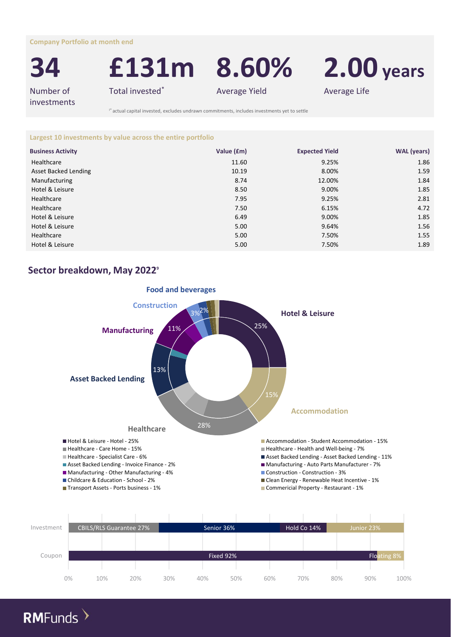**Company Portfolio at month end**



**34 £131m 8.60% 2.00 years**

Number of investments

Total invested\* Total invested\* Average Yield Average Life

I\* actual capital invested, excludes undrawn commitments, includes investments yet to settle

**Largest 10 investments by value across the entire portfolio**

| <b>Business Activity</b> | Value (£m) | <b>Expected Yield</b> | <b>WAL</b> (years) |
|--------------------------|------------|-----------------------|--------------------|
| Healthcare               | 11.60      | 9.25%                 | 1.86               |
| Asset Backed Lending     | 10.19      | 8.00%                 | 1.59               |
| Manufacturing            | 8.74       | 12.00%                | 1.84               |
| Hotel & Leisure          | 8.50       | 9.00%                 | 1.85               |
| Healthcare               | 7.95       | 9.25%                 | 2.81               |
| Healthcare               | 7.50       | 6.15%                 | 4.72               |
| Hotel & Leisure          | 6.49       | 9.00%                 | 1.85               |
| Hotel & Leisure          | 5.00       | 9.64%                 | 1.56               |
| Healthcare               | 5.00       | 7.50%                 | 1.55               |
| Hotel & Leisure          | 5.00       | 7.50%                 | 1.89               |

# **Sector breakdown, May 2022<sup>9</sup>**



| Investment |       | <b>CBILS/RLS Guarantee 27%</b> |     |     | Senior 36% |            | Hold Co 14% | Junior 23% |             |
|------------|-------|--------------------------------|-----|-----|------------|------------|-------------|------------|-------------|
|            |       |                                |     |     |            |            |             |            |             |
|            |       |                                |     |     |            |            |             |            |             |
| Coupon     |       |                                |     |     | Fixed 92%  |            |             |            | Floating 8% |
|            |       |                                |     |     |            |            |             |            |             |
|            | $0\%$ | 10%                            | 20% | 30% | 40%        | 50%<br>60% | 70%         | 80%        | 100%<br>90% |

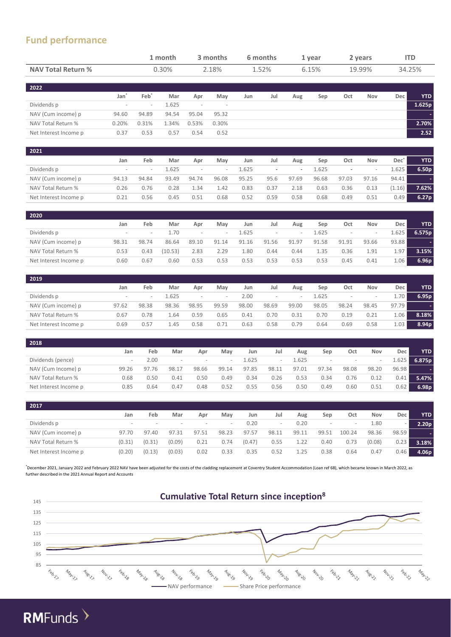# **Fund performance**

|                                                                                                                                                                                                      |                          | 1 month                  |                  | 3 months<br>2.18%        |                                                            | 6 months<br>1.52% |                          | 1 year<br>6.15%          |                | 2 years<br>19.99%        |                          | <b>ITD</b><br>34.25% |                   |
|------------------------------------------------------------------------------------------------------------------------------------------------------------------------------------------------------|--------------------------|--------------------------|------------------|--------------------------|------------------------------------------------------------|-------------------|--------------------------|--------------------------|----------------|--------------------------|--------------------------|----------------------|-------------------|
| <b>NAV Total Return %</b>                                                                                                                                                                            |                          |                          | 0.30%            |                          |                                                            |                   |                          |                          |                |                          |                          |                      |                   |
| 2022                                                                                                                                                                                                 |                          |                          |                  |                          |                                                            |                   |                          |                          |                |                          |                          |                      |                   |
|                                                                                                                                                                                                      | Jan <sup>*</sup>         | Feb <sup>*</sup>         | Mar              | Apr                      | May                                                        | Jun               | Jul                      | Aug                      | Sep            | Oct                      | Nov                      | Dec                  | <b>YTD</b>        |
| Dividends p                                                                                                                                                                                          | $\overline{\phantom{a}}$ | $\overline{\phantom{a}}$ | 1.625            | $\overline{\phantom{a}}$ |                                                            |                   |                          |                          |                |                          |                          |                      | 1.625p            |
| NAV (Cum income) p                                                                                                                                                                                   | 94.60                    | 94.89                    | 94.54            | 95.04                    | 95.32                                                      |                   |                          |                          |                |                          |                          |                      |                   |
| NAV Total Return %                                                                                                                                                                                   | 0.20%                    | 0.31%                    | 1.34%            | 0.53%                    | 0.30%                                                      |                   |                          |                          |                |                          |                          |                      | 2.70%             |
| Net Interest Income p                                                                                                                                                                                | 0.37                     | 0.53                     | 0.57             | 0.54                     | 0.52                                                       |                   |                          |                          |                |                          |                          |                      | 2.52              |
| 2021                                                                                                                                                                                                 |                          |                          |                  |                          |                                                            |                   |                          |                          |                |                          |                          |                      |                   |
|                                                                                                                                                                                                      | Jan                      | Feb                      | Mar              | Apr                      | May                                                        | Jun               | Jul                      | Aug                      | Sep            | Oct                      | Nov                      | $Dec^*$              | <b>YTD</b>        |
| Dividends p                                                                                                                                                                                          | $\overline{a}$           | $\overline{a}$           | 1.625            | $\overline{\phantom{a}}$ | i.                                                         | 1.625             | $\overline{\phantom{a}}$ | $\overline{\phantom{a}}$ | 1.625          | $\blacksquare$           | $\overline{\phantom{a}}$ | 1.625                | 6.50 <sub>p</sub> |
| NAV (Cum income) p                                                                                                                                                                                   | 94.13                    | 94.84                    | 93.49            | 94.74                    | 96.08                                                      | 95.25             | 95.6                     | 97.69                    | 96.68          | 97.03                    | 97.16                    | 94.41                |                   |
| NAV Total Return %                                                                                                                                                                                   | 0.26                     | 0.76                     | 0.28             | 1.34                     | 1.42                                                       | 0.83              | 0.37                     | 2.18                     | 0.63           | 0.36                     | 0.13                     | (1.16)               | 7.62%             |
| Net Interest Income p                                                                                                                                                                                | 0.21                     | 0.56                     | 0.45             | 0.51                     | 0.68                                                       | 0.52              | 0.59                     | 0.58                     | 0.68           | 0.49                     | 0.51                     | 0.49                 | 6.27p             |
| 2020                                                                                                                                                                                                 |                          |                          |                  |                          |                                                            |                   |                          |                          |                |                          |                          |                      |                   |
|                                                                                                                                                                                                      | Jan                      | Feb                      | Mar              | Apr                      | May                                                        | Jun               | Jul                      | Aug                      | Sep            | Oct                      | Nov                      | Dec                  | <b>YTD</b>        |
| Dividends p                                                                                                                                                                                          | $\overline{a}$           | $\bar{a}$                | 1.70             | $\overline{\phantom{a}}$ | i.                                                         | 1.625             | $\overline{\phantom{a}}$ | $\overline{a}$           | 1.625          | $\overline{\phantom{a}}$ | $\overline{\phantom{a}}$ | 1.625                | 6.575p            |
| NAV (Cum income) p                                                                                                                                                                                   | 98.31                    | 98.74                    | 86.64            | 89.10                    | 91.14                                                      | 91.16             | 91.56                    | 91.97                    | 91.58          | 91.91                    | 93.66                    | 93.88                |                   |
| NAV Total Return %                                                                                                                                                                                   | 0.53                     | 0.43                     | (10.53)          | 2.83                     | 2.29                                                       | 1.80              | 0.44                     | 0.44                     | 1.35           | 0.36                     | 1.91                     | 1.97                 | 3.15%             |
| Net Interest Income p                                                                                                                                                                                | 0.60                     | 0.67                     | 0.60             | 0.53                     | 0.53                                                       | 0.53              | 0.53                     | 0.53                     | 0.53           | 0.45                     | 0.41                     | 1.06                 | 6.96p             |
| 2019                                                                                                                                                                                                 |                          |                          |                  |                          |                                                            |                   |                          |                          |                |                          |                          |                      |                   |
|                                                                                                                                                                                                      | Jan                      | Feb                      | Mar              | Apr                      | May                                                        | Jun               | Jul                      | Aug                      | Sep            | Oct                      | Nov                      | Dec                  | <b>YTD</b>        |
| Dividends p                                                                                                                                                                                          | $\overline{a}$           | $\overline{a}$           | 1.625            | $\bar{a}$                |                                                            | 2.00              | $\overline{\phantom{a}}$ | $\overline{a}$           | 1.625          | $\overline{\phantom{a}}$ | $\overline{\phantom{a}}$ | 1.70                 | 6.95p             |
| NAV (Cum income) p                                                                                                                                                                                   | 97.62                    | 98.38                    | 98.36            | 98.95                    | 99.59                                                      | 98.00             | 98.69                    | 99.00                    | 98.05          | 98.24                    | 98.45                    | 97.79                |                   |
| NAV Total Return %                                                                                                                                                                                   | 0.67                     | 0.78                     | 1.64             | 0.59                     | 0.65                                                       | 0.41              | 0.70                     | 0.31                     | 0.70           | 0.19                     | 0.21                     | 1.06                 | 8.18%             |
| Net Interest Income p                                                                                                                                                                                | 0.69                     | 0.57                     | 1.45             | 0.58                     | 0.71                                                       | 0.63              | 0.58                     | 0.79                     | 0.64           | 0.69                     | 0.58                     | 1.03                 | 8.94p             |
| 2018                                                                                                                                                                                                 |                          |                          |                  |                          |                                                            |                   |                          |                          |                |                          |                          |                      |                   |
|                                                                                                                                                                                                      | Jan                      | Feb                      | Mar              | Apr                      | May                                                        | Jun               | Jul                      | Aug                      | Sep            | Oct                      | Nov                      | Dec                  | <b>YTD</b>        |
| Dividends (pence)                                                                                                                                                                                    | $\overline{a}$           | 2.00                     | $\overline{a}$   | $\frac{1}{2}$            | J.                                                         | 1.625             | $\overline{a}$           | 1.625                    | $\bar{a}$      | $\overline{\phantom{a}}$ | $\overline{a}$           | 1.625                | 6.875p            |
| NAV (Cum Income) p                                                                                                                                                                                   | 99.26                    | 97.76                    | 98.17            | 98.66                    | 99.14                                                      | 97.85             | 98.11                    | 97.01                    | 97.34          | 98.08                    | 98.20                    | 96.98                |                   |
| NAV Total Return %                                                                                                                                                                                   | 0.68                     | 0.50                     | 0.41             | 0.50                     | 0.49                                                       | 0.34              | 0.26                     | 0.53                     | 0.34           | 0.76                     | 0.12                     | 0.41                 | 5.47%             |
| Net Interest Income p                                                                                                                                                                                | 0.85                     | 0.64                     | 0.47             | 0.48                     | 0.52                                                       | 0.55              | 0.56                     | 0.50                     | 0.49           | 0.60                     | 0.51                     | 0.62                 | 6.98p             |
| 2017                                                                                                                                                                                                 |                          |                          |                  |                          |                                                            |                   |                          |                          |                |                          |                          |                      |                   |
|                                                                                                                                                                                                      | Jan                      | Feb                      | Mar              | Apr                      | May                                                        | Jun               | Jul                      | Aug                      | Sep            | Oct                      | Nov                      | Dec                  | <b>YTD</b>        |
| Dividends p                                                                                                                                                                                          | $\overline{\phantom{a}}$ | $\overline{\phantom{a}}$ | J.               | i.                       | L,                                                         | 0.20              | $\overline{\phantom{a}}$ | 0.20                     | $\overline{a}$ | $\overline{\phantom{a}}$ | 1.80                     |                      | 2.20 <sub>p</sub> |
| NAV (Cum income) p                                                                                                                                                                                   | 97.70                    | 97.40                    | 97.31            | 97.51                    | 98.23                                                      | 97.57             | 98.11                    | 99.11                    | 99.51          | 100.24                   | 98.36                    | 98.59                |                   |
| NAV Total Return %<br>Net Interest Income p                                                                                                                                                          | (0.31)<br>(0.20)         | (0.31)<br>(0.13)         | (0.09)<br>(0.03) | 0.21<br>0.02             | 0.74<br>0.33                                               | (0.47)<br>0.35    | 0.55<br>0.52             | 1.22<br>1.25             | 0.40<br>0.38   | 0.73<br>0.64             | (0.08)<br>0.47           | 0.23<br>0.46         | 3.18%             |
|                                                                                                                                                                                                      |                          |                          |                  |                          |                                                            |                   |                          |                          |                |                          |                          |                      | 4.06p             |
| December 2021, January 2022 and February 2022 NAV have been adjusted for the costs of the cladding replacement at Coventry Student Accommodation (Loan ref 68), which became known in March 2022, as |                          |                          |                  |                          |                                                            |                   |                          |                          |                |                          |                          |                      |                   |
| further described in the 2021 Annual Report and Accounts                                                                                                                                             |                          |                          |                  |                          |                                                            |                   |                          |                          |                |                          |                          |                      |                   |
|                                                                                                                                                                                                      |                          |                          |                  |                          |                                                            |                   |                          |                          |                |                          |                          |                      |                   |
|                                                                                                                                                                                                      |                          |                          |                  |                          | <b>Cumulative Total Return since inception<sup>8</sup></b> |                   |                          |                          |                |                          |                          |                      |                   |
| 145                                                                                                                                                                                                  |                          |                          |                  |                          |                                                            |                   |                          |                          |                |                          |                          |                      |                   |
| 135                                                                                                                                                                                                  |                          |                          |                  |                          |                                                            |                   |                          |                          |                |                          |                          |                      |                   |
| 125                                                                                                                                                                                                  |                          |                          |                  |                          |                                                            |                   |                          |                          |                |                          |                          |                      |                   |
| 115                                                                                                                                                                                                  |                          |                          |                  |                          |                                                            |                   |                          |                          |                |                          |                          |                      |                   |
|                                                                                                                                                                                                      |                          |                          |                  |                          |                                                            |                   |                          |                          |                |                          |                          |                      |                   |
|                                                                                                                                                                                                      |                          |                          |                  |                          |                                                            |                   |                          |                          |                |                          |                          |                      |                   |
| 105                                                                                                                                                                                                  |                          |                          |                  |                          |                                                            |                   |                          |                          |                |                          |                          |                      |                   |
| 95<br>85                                                                                                                                                                                             |                          |                          |                  |                          |                                                            |                   |                          |                          |                |                          |                          |                      |                   |

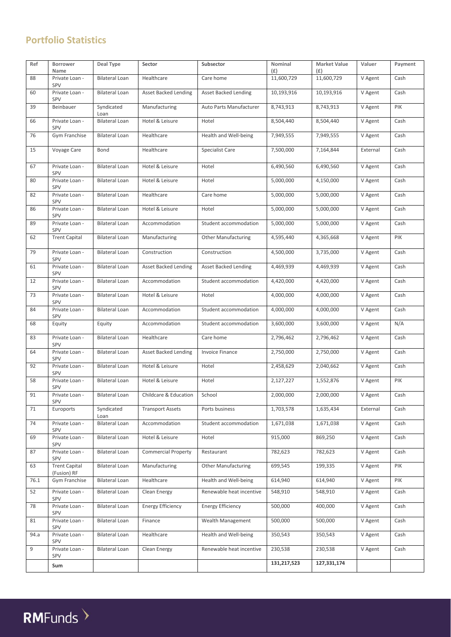# **Portfolio Statistics**

| Ref  | Borrower<br>Name                    | Deal Type             | Sector                      | Subsector                   | Nominal<br>(E) | <b>Market Value</b><br>(E) | Valuer   | Payment |
|------|-------------------------------------|-----------------------|-----------------------------|-----------------------------|----------------|----------------------------|----------|---------|
| 88   | Private Loan -<br>SPV               | <b>Bilateral Loan</b> | Healthcare                  | Care home                   | 11,600,729     | 11,600,729                 | V Agent  | Cash    |
| 60   | Private Loan -<br>SPV               | <b>Bilateral Loan</b> | <b>Asset Backed Lending</b> | <b>Asset Backed Lending</b> | 10,193,916     | 10,193,916                 | V Agent  | Cash    |
| 39   | Beinbauer                           | Syndicated<br>Loan    | Manufacturing               | Auto Parts Manufacturer     | 8,743,913      | 8,743,913                  | V Agent  | PIK     |
| 66   | Private Loan -<br>SPV               | <b>Bilateral Loan</b> | Hotel & Leisure             | Hotel                       | 8,504,440      | 8,504,440                  | V Agent  | Cash    |
| 76   | Gym Franchise                       | <b>Bilateral Loan</b> | Healthcare                  | Health and Well-being       | 7,949,555      | 7,949,555                  | V Agent  | Cash    |
| 15   | Voyage Care                         | Bond                  | Healthcare                  | Specialist Care             | 7,500,000      | 7,164,844                  | External | Cash    |
| 67   | Private Loan -<br>SPV               | <b>Bilateral Loan</b> | Hotel & Leisure             | Hotel                       | 6,490,560      | 6,490,560                  | V Agent  | Cash    |
| 80   | Private Loan -<br>SPV               | <b>Bilateral Loan</b> | Hotel & Leisure             | Hotel                       | 5,000,000      | 4,150,000                  | V Agent  | Cash    |
| 82   | Private Loan -<br>SPV               | <b>Bilateral Loan</b> | Healthcare                  | Care home                   | 5,000,000      | 5,000,000                  | V Agent  | Cash    |
| 86   | Private Loan -<br>SPV               | <b>Bilateral Loan</b> | Hotel & Leisure             | Hotel                       | 5,000,000      | 5,000,000                  | V Agent  | Cash    |
| 89   | Private Loan -<br>SPV               | <b>Bilateral Loan</b> | Accommodation               | Student accommodation       | 5,000,000      | 5,000,000                  | V Agent  | Cash    |
| 62   | <b>Trent Capital</b>                | <b>Bilateral Loan</b> | Manufacturing               | <b>Other Manufacturing</b>  | 4,595,440      | 4,365,668                  | V Agent  | PIK     |
| 79   | Private Loan -<br>SPV               | <b>Bilateral Loan</b> | Construction                | Construction                | 4,500,000      | 3,735,000                  | V Agent  | Cash    |
| 61   | Private Loan -<br><b>SPV</b>        | <b>Bilateral Loan</b> | <b>Asset Backed Lending</b> | Asset Backed Lending        | 4,469,939      | 4,469,939                  | V Agent  | Cash    |
| 12   | Private Loan -<br>SPV               | <b>Bilateral Loan</b> | Accommodation               | Student accommodation       | 4,420,000      | 4,420,000                  | V Agent  | Cash    |
| 73   | Private Loan -<br>SPV               | <b>Bilateral Loan</b> | Hotel & Leisure             | Hotel                       | 4,000,000      | 4,000,000                  | V Agent  | Cash    |
| 84   | Private Loan -<br>SPV               | <b>Bilateral Loan</b> | Accommodation               | Student accommodation       | 4,000,000      | 4,000,000                  | V Agent  | Cash    |
| 68   | Equity                              | Equity                | Accommodation               | Student accommodation       | 3,600,000      | 3,600,000                  | V Agent  | N/A     |
| 83   | Private Loan -<br>SPV               | <b>Bilateral Loan</b> | Healthcare                  | Care home                   | 2,796,462      | 2,796,462                  | V Agent  | Cash    |
| 64   | Private Loan -<br>SPV               | <b>Bilateral Loan</b> | <b>Asset Backed Lending</b> | <b>Invoice Finance</b>      | 2,750,000      | 2,750,000                  | V Agent  | Cash    |
| 92   | Private Loan -<br>SPV               | <b>Bilateral Loan</b> | Hotel & Leisure             | Hotel                       | 2,458,629      | 2,040,662                  | V Agent  | Cash    |
| 58   | Private Loan -<br>SPV               | <b>Bilateral Loan</b> | Hotel & Leisure             | Hotel                       | 2,127,227      | 1,552,876                  | V Agent  | PIK     |
| 91   | Private Loan -<br>SPV               | <b>Bilateral Loan</b> | Childcare & Education       | School                      | 2,000,000      | 2,000,000                  | V Agent  | Cash    |
| 71   | Euroports                           | Syndicated<br>Loan    | <b>Transport Assets</b>     | Ports business              | 1,703,578      | 1,635,434                  | External | Cash    |
| 74   | Private Loan -<br>SPV               | <b>Bilateral Loan</b> | Accommodation               | Student accommodation       | 1,671,038      | 1,671,038                  | V Agent  | Cash    |
| 69   | Private Loan -<br>SPV               | <b>Bilateral Loan</b> | Hotel & Leisure             | Hotel                       | 915,000        | 869,250                    | V Agent  | Cash    |
| 87   | Private Loan -<br>SPV               | <b>Bilateral Loan</b> | <b>Commercial Property</b>  | Restaurant                  | 782,623        | 782,623                    | V Agent  | Cash    |
| 63   | <b>Trent Capital</b><br>(Fusion) RF | <b>Bilateral Loan</b> | Manufacturing               | <b>Other Manufacturing</b>  | 699,545        | 199,335                    | V Agent  | PIK     |
| 76.1 | Gym Franchise                       | <b>Bilateral Loan</b> | Healthcare                  | Health and Well-being       | 614,940        | 614,940                    | V Agent  | PIK     |
| 52   | Private Loan -<br>SPV               | <b>Bilateral Loan</b> | Clean Energy                | Renewable heat incentive    | 548,910        | 548,910                    | V Agent  | Cash    |
| 78   | Private Loan -<br>SPV               | <b>Bilateral Loan</b> | <b>Energy Efficiency</b>    | <b>Energy Efficiency</b>    | 500,000        | 400,000                    | V Agent  | Cash    |
| 81   | Private Loan -<br>SPV               | <b>Bilateral Loan</b> | Finance                     | Wealth Management           | 500,000        | 500,000                    | V Agent  | Cash    |
| 94.a | Private Loan -<br>SPV               | <b>Bilateral Loan</b> | Healthcare                  | Health and Well-being       | 350,543        | 350,543                    | V Agent  | Cash    |
| 9    | Private Loan -<br>SPV               | <b>Bilateral Loan</b> | Clean Energy                | Renewable heat incentive    | 230,538        | 230,538                    | V Agent  | Cash    |
|      | Sum                                 |                       |                             |                             | 131,217,523    | 127,331,174                |          |         |